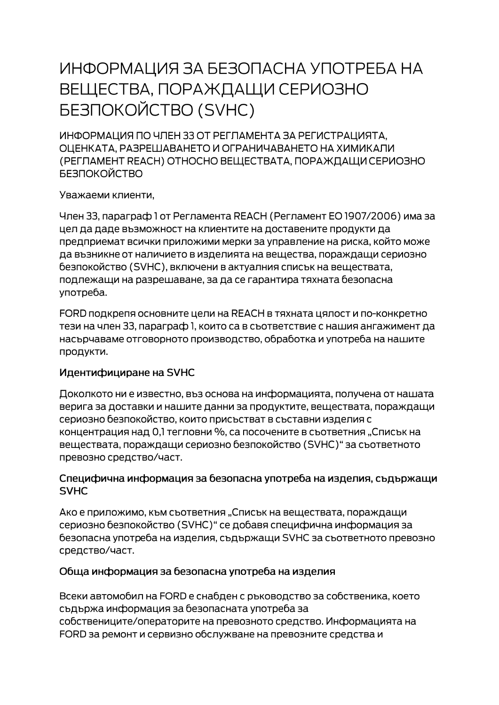# ИНФОРМАЦИЯ ЗА БЕЗОПАСНА УПОТРЕБА НА ВЕЩЕСТВА, ПОРАЖДАЩИ СЕРИОЗНО **БЕЗПОКОЙСТВО (SVHC)**

ИНФОРМАЦИЯ ПО ЧЛЕН 33 ОТ РЕГЛАМЕНТА ЗА РЕГИСТРАЦИЯТА. ОЦЕНКАТА, РАЗРЕШАВАНЕТО И ОГРАНИЧАВАНЕТО НА ХИМИКАЛИ (РЕГЛАМЕНТ REACH) ОТНОСНО ВЕЩЕСТВАТА, ПОРАЖДАЩИ СЕРИОЗНО **БЕЗПОКОЙСТВО** 

Уважаеми клиенти,

Член 33, параграф 1 от Регламента REACH (Регламент ЕО 1907/2006) има за цел да даде възможност на клиентите на доставените продукти да предприемат всички приложими мерки за управление на риска, който може да възникне от наличието в изделията на вещества, пораждащи сериозно безпокойство (SVHC), включени в актуалния списък на веществата, подлежащи на разрешаване, за да се гарантира тяхната безопасна употреба.

FORD подкрепя основните цели на REACH в тяхната цялост и по-конкретно тези на член 33, параграф 1, които са в съответствие с нашия ангажимент да насърчаваме отговорното производство, обработка и употреба на нашите продукти.

## Идентифициране на SVHC

Доколкото ни е известно, въз основа на информацията, получена от нашата верига за доставки и нашите данни за продуктите, веществата, пораждащи сериозно безпокойство, които присъстват в съставни изделия с концентрация над 0,1 тегловни %, са посочените в съответния "Списък на веществата, пораждащи сериозно безпокойство (SVHC)" за съответното превозно средство/част.

#### Специфична информация за безопасна употреба на изделия, съдържащи **SVHC**

Ако е приложимо, към съответния "Списък на веществата, пораждащи сериозно безпокойство (SVHC)" се добавя специфична информация за безопасна употреба на изделия, съдържащи SVHC за съответното превозно средство/част.

## Обща информация за безопасна употреба на изделия

Всеки автомобил на FORD е снабден с ръководство за собственика, което съдържа информация за безопасната употреба за собствениците/операторите на превозното средство. Информацията на FORD за ремонт и сервизно обслужване на превозните средства и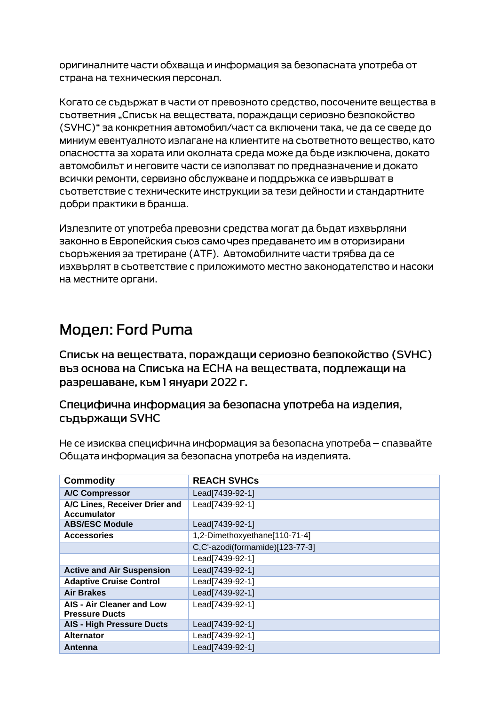оригиналните части обхваща и информация за безопасната употреба от страна на техническия персонал.

Когато се съдържат в части от превозното средство, посочените вещества в съответния "Списък на веществата, пораждащи сериозно безпокойство (SVHC)" за конкретния автомобил/част са включени така, че да се сведе до миниум евентуалното излагане на клиентите на съответното вещество, като опасността за хората или околната среда може да бъде изключена, докато автомобилът и неговите части се използват по предназначение и докато всички ремонти, сервизно обслужване и поддръжка се извършват в съответствие с техническите инструкции за тези дейности и стандартните добри практики в бранша.

Излезлите от употреба превозни средства могат да бъдат изхвърляни законно в Европейския съюз само чрез предаването им в оторизирани сьоръжения за третиране (АТЕ). Автомобилните части трябва да се изхвърлят в съответствие с приложимото местно законодателство и насоки на местните органи.

# Модел: Ford Puma

Списък на веществата, пораждащи сериозно безпокойство (SVHC) въз основа на Списъка на ЕСНА на веществата, подлежащи на разрешаване, към 1 януари 2022 г.

Специфична информация за безопасна употреба на изделия, съдържащи SVHC

| <b>Commodity</b>                                   | <b>REACH SVHCs</b>              |
|----------------------------------------------------|---------------------------------|
| <b>A/C Compressor</b>                              | Lead[7439-92-1]                 |
| A/C Lines, Receiver Drier and<br>Accumulator       | Lead[7439-92-1]                 |
| <b>ABS/ESC Module</b>                              | Lead[7439-92-1]                 |
| <b>Accessories</b>                                 | 1,2-Dimethoxyethane[110-71-4]   |
|                                                    | C,C'-azodi(formamide)[123-77-3] |
|                                                    | Lead[7439-92-1]                 |
| <b>Active and Air Suspension</b>                   | Lead[7439-92-1]                 |
| <b>Adaptive Cruise Control</b>                     | Lead[7439-92-1]                 |
| <b>Air Brakes</b>                                  | Lead[7439-92-1]                 |
| AIS - Air Cleaner and Low<br><b>Pressure Ducts</b> | Lead[7439-92-1]                 |
| <b>AIS - High Pressure Ducts</b>                   | Lead[7439-92-1]                 |
| <b>Alternator</b>                                  | Lead[7439-92-1]                 |
| Antenna                                            | Lead[7439-92-1]                 |

Не се изисква специфична информация за безопасна употреба – спазвайте Общата информация за безопасна употреба на изделията.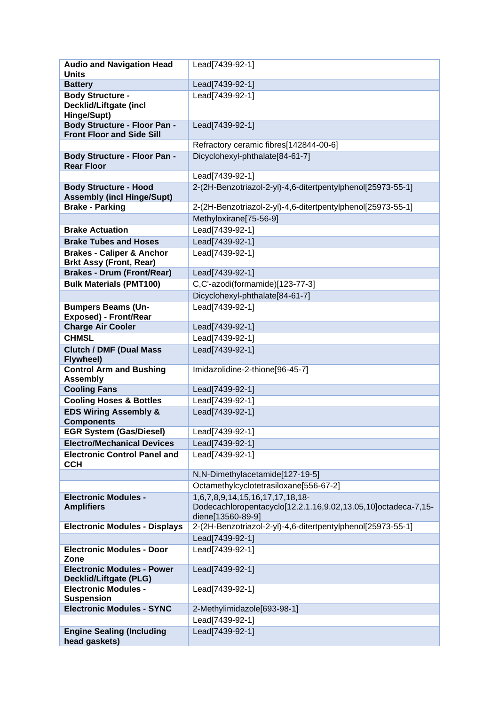| <b>Audio and Navigation Head</b><br><b>Units</b>                   | Lead[7439-92-1]                                                                    |
|--------------------------------------------------------------------|------------------------------------------------------------------------------------|
| <b>Battery</b>                                                     | Lead[7439-92-1]                                                                    |
| <b>Body Structure -</b>                                            | Lead[7439-92-1]                                                                    |
| <b>Decklid/Liftgate (incl</b><br>Hinge/Supt)                       |                                                                                    |
| <b>Body Structure - Floor Pan -</b>                                | Lead[7439-92-1]                                                                    |
| <b>Front Floor and Side Sill</b>                                   |                                                                                    |
|                                                                    | Refractory ceramic fibres[142844-00-6]                                             |
| <b>Body Structure - Floor Pan -</b><br><b>Rear Floor</b>           | Dicyclohexyl-phthalate[84-61-7]                                                    |
|                                                                    | Lead[7439-92-1]                                                                    |
| <b>Body Structure - Hood</b><br><b>Assembly (incl Hinge/Supt)</b>  | 2-(2H-Benzotriazol-2-yl)-4,6-ditertpentylphenol[25973-55-1]                        |
| <b>Brake - Parking</b>                                             | 2-(2H-Benzotriazol-2-yl)-4,6-ditertpentylphenol[25973-55-1]                        |
|                                                                    | Methyloxirane[75-56-9]                                                             |
| <b>Brake Actuation</b>                                             | Lead[7439-92-1]                                                                    |
| <b>Brake Tubes and Hoses</b>                                       | Lead[7439-92-1]                                                                    |
| <b>Brakes - Caliper &amp; Anchor</b>                               | Lead[7439-92-1]                                                                    |
| <b>Brkt Assy (Front, Rear)</b>                                     |                                                                                    |
| <b>Brakes - Drum (Front/Rear)</b>                                  | Lead[7439-92-1]                                                                    |
| <b>Bulk Materials (PMT100)</b>                                     | C,C'-azodi(formamide)[123-77-3]                                                    |
|                                                                    | Dicyclohexyl-phthalate[84-61-7]                                                    |
| <b>Bumpers Beams (Un-</b><br><b>Exposed) - Front/Rear</b>          | Lead[7439-92-1]                                                                    |
| <b>Charge Air Cooler</b>                                           | Lead[7439-92-1]                                                                    |
| <b>CHMSL</b>                                                       | Lead[7439-92-1]                                                                    |
| <b>Clutch / DMF (Dual Mass</b><br>Flywheel)                        | Lead[7439-92-1]                                                                    |
| <b>Control Arm and Bushing</b><br><b>Assembly</b>                  | Imidazolidine-2-thione[96-45-7]                                                    |
| <b>Cooling Fans</b>                                                | Lead[7439-92-1]                                                                    |
| <b>Cooling Hoses &amp; Bottles</b>                                 | Lead[7439-92-1]                                                                    |
| <b>EDS Wiring Assembly &amp;</b><br><b>Components</b>              | Lead[7439-92-1]                                                                    |
| <b>EGR System (Gas/Diesel)</b>                                     | Lead[7439-92-1]                                                                    |
| <b>Electro/Mechanical Devices</b>                                  | Lead[7439-92-1]                                                                    |
| <b>Electronic Control Panel and</b><br><b>CCH</b>                  | Lead[7439-92-1]                                                                    |
|                                                                    | N,N-Dimethylacetamide[127-19-5]                                                    |
|                                                                    | Octamethylcyclotetrasiloxane[556-67-2]                                             |
| <b>Electronic Modules -</b>                                        | 1,6,7,8,9,14,15,16,17,17,18,18-                                                    |
| <b>Amplifiers</b>                                                  | Dodecachloropentacyclo[12.2.1.16,9.02,13.05,10]octadeca-7,15-<br>diene[13560-89-9] |
| <b>Electronic Modules - Displays</b>                               | 2-(2H-Benzotriazol-2-yl)-4,6-ditertpentylphenol[25973-55-1]                        |
|                                                                    | Lead[7439-92-1]                                                                    |
| <b>Electronic Modules - Door</b><br>Zone                           | Lead[7439-92-1]                                                                    |
| <b>Electronic Modules - Power</b><br><b>Decklid/Liftgate (PLG)</b> | Lead[7439-92-1]                                                                    |
| <b>Electronic Modules -</b><br><b>Suspension</b>                   | Lead[7439-92-1]                                                                    |
| <b>Electronic Modules - SYNC</b>                                   | 2-Methylimidazole[693-98-1]                                                        |
|                                                                    | Lead[7439-92-1]                                                                    |
| <b>Engine Sealing (Including</b>                                   | Lead[7439-92-1]                                                                    |
| head gaskets)                                                      |                                                                                    |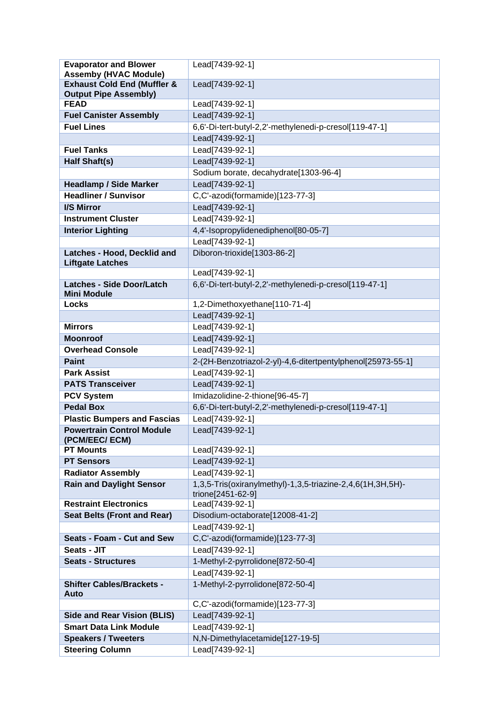| <b>Evaporator and Blower</b>                | Lead[7439-92-1]                                                                 |
|---------------------------------------------|---------------------------------------------------------------------------------|
| <b>Assemby (HVAC Module)</b>                |                                                                                 |
| <b>Exhaust Cold End (Muffler &amp;</b>      | Lead[7439-92-1]                                                                 |
| <b>Output Pipe Assembly)</b><br><b>FEAD</b> | Lead[7439-92-1]                                                                 |
| <b>Fuel Canister Assembly</b>               | Lead[7439-92-1]                                                                 |
| <b>Fuel Lines</b>                           | 6,6'-Di-tert-butyl-2,2'-methylenedi-p-cresol[119-47-1]                          |
|                                             | Lead[7439-92-1]                                                                 |
| <b>Fuel Tanks</b>                           | Lead[7439-92-1]                                                                 |
| <b>Half Shaft(s)</b>                        | Lead[7439-92-1]                                                                 |
|                                             | Sodium borate, decahydrate[1303-96-4]                                           |
| <b>Headlamp / Side Marker</b>               | Lead[7439-92-1]                                                                 |
| <b>Headliner / Sunvisor</b>                 | C,C'-azodi(formamide)[123-77-3]                                                 |
| I/S Mirror                                  | Lead[7439-92-1]                                                                 |
| <b>Instrument Cluster</b>                   | Lead[7439-92-1]                                                                 |
| <b>Interior Lighting</b>                    | 4,4'-Isopropylidenediphenol[80-05-7]                                            |
|                                             | Lead[7439-92-1]                                                                 |
| Latches - Hood, Decklid and                 | Diboron-trioxide[1303-86-2]                                                     |
| <b>Liftgate Latches</b>                     |                                                                                 |
|                                             | Lead[7439-92-1]                                                                 |
| <b>Latches - Side Door/Latch</b>            | 6,6'-Di-tert-butyl-2,2'-methylenedi-p-cresol[119-47-1]                          |
| <b>Mini Module</b>                          |                                                                                 |
| <b>Locks</b>                                | 1,2-Dimethoxyethane[110-71-4]                                                   |
|                                             | Lead[7439-92-1]                                                                 |
| <b>Mirrors</b>                              | Lead[7439-92-1]                                                                 |
| <b>Moonroof</b><br><b>Overhead Console</b>  | Lead[7439-92-1]                                                                 |
|                                             | Lead[7439-92-1]                                                                 |
| <b>Paint</b><br><b>Park Assist</b>          | 2-(2H-Benzotriazol-2-yl)-4,6-ditertpentylphenol[25973-55-1]                     |
| <b>PATS Transceiver</b>                     | Lead[7439-92-1]<br>Lead[7439-92-1]                                              |
| <b>PCV System</b>                           | Imidazolidine-2-thione[96-45-7]                                                 |
| <b>Pedal Box</b>                            | 6,6'-Di-tert-butyl-2,2'-methylenedi-p-cresol[119-47-1]                          |
| <b>Plastic Bumpers and Fascias</b>          | Lead[7439-92-1]                                                                 |
| <b>Powertrain Control Module</b>            | Lead[7439-92-1]                                                                 |
| (PCM/EEC/ECM)                               |                                                                                 |
| <b>PT Mounts</b>                            | Lead[7439-92-1]                                                                 |
| <b>PT Sensors</b>                           | Lead[7439-92-1]                                                                 |
| <b>Radiator Assembly</b>                    | Lead[7439-92-1]                                                                 |
| <b>Rain and Daylight Sensor</b>             | 1,3,5-Tris(oxiranylmethyl)-1,3,5-triazine-2,4,6(1H,3H,5H)-<br>trione[2451-62-9] |
| <b>Restraint Electronics</b>                | Lead[7439-92-1]                                                                 |
| <b>Seat Belts (Front and Rear)</b>          | Disodium-octaborate[12008-41-2]                                                 |
|                                             | Lead[7439-92-1]                                                                 |
| Seats - Foam - Cut and Sew                  | C,C'-azodi(formamide)[123-77-3]                                                 |
| Seats - JIT                                 | Lead[7439-92-1]                                                                 |
| <b>Seats - Structures</b>                   | 1-Methyl-2-pyrrolidone[872-50-4]                                                |
|                                             | Lead[7439-92-1]                                                                 |
| <b>Shifter Cables/Brackets -</b><br>Auto    | 1-Methyl-2-pyrrolidone[872-50-4]                                                |
|                                             | C,C'-azodi(formamide)[123-77-3]                                                 |
| <b>Side and Rear Vision (BLIS)</b>          | Lead[7439-92-1]                                                                 |
| <b>Smart Data Link Module</b>               | Lead[7439-92-1]                                                                 |
| <b>Speakers / Tweeters</b>                  | N,N-Dimethylacetamide[127-19-5]                                                 |
| <b>Steering Column</b>                      | Lead[7439-92-1]                                                                 |